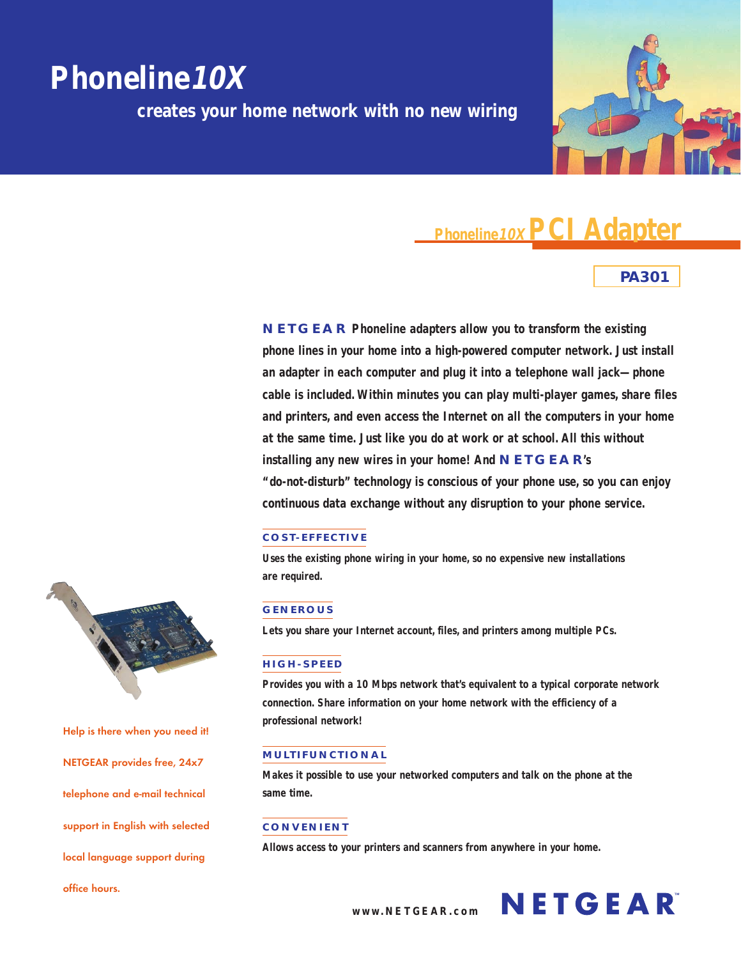# **Phoneline10X**

**creates your home network with no new wiring**



## **Phoneline 10X PCI Adapter**

## **PA301**

**NETGEAR Phoneline adapters allow you to transform the existing phone lines in your home into a high-powered computer network. Just install an adapter in each computer and plug it into a telephone wall jack—phone cable is included. Within minutes you can play multi-player games, share files and printers, and even access the Internet on all the computers in your home at the same time. Just like you do at work or at school. All this without installing any new wires in your home! And NETGEAR's "do-not-disturb" technology is conscious of your phone use, so you can enjoy continuous data exchange without any disruption to your phone service.**

## **COST-EFFECT IVE**

**Uses the existing phone wiring in your home, so no expensive new installations are required.**

## **GENEROUS**

**Lets you share your Internet account, files, and printers among multiple PCs.**

## **HIGH-SPEED**

**Provides you with a 10 Mbps network that's equivalent to a typical corporate network connection. Share information on your home network with the efficiency of a professional network!**

## **MULTIFUNCTIONAL**

**Makes it possible to use your networked computers and talk on the phone at the same time.**

## **CONVENIENT**

**Allows access to your printers and scanners from anywhere in your home.**



**Help is there when you need it! NETGEAR provides free, 24x7 telephone and e-mail technical support in English with selected local language support during office hours.**